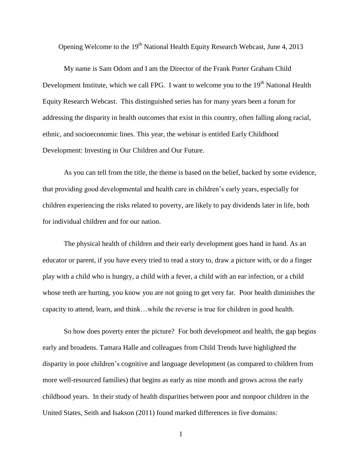Opening Welcome to the 19<sup>th</sup> National Health Equity Research Webcast, June 4, 2013

My name is Sam Odom and I am the Director of the Frank Porter Graham Child Development Institute, which we call FPG. I want to welcome you to the  $19<sup>th</sup>$  National Health Equity Research Webcast. This distinguished series has for many years been a forum for addressing the disparity in health outcomes that exist in this country, often falling along racial, ethnic, and socioeconomic lines. This year, the webinar is entitled Early Childhood Development: Investing in Our Children and Our Future.

As you can tell from the title, the theme is based on the belief, backed by some evidence, that providing good developmental and health care in children's early years, especially for children experiencing the risks related to poverty, are likely to pay dividends later in life, both for individual children and for our nation.

The physical health of children and their early development goes hand in hand. As an educator or parent, if you have every tried to read a story to, draw a picture with, or do a finger play with a child who is hungry, a child with a fever, a child with an ear infection, or a child whose teeth are hurting, you know you are not going to get very far. Poor health diminishes the capacity to attend, learn, and think…while the reverse is true for children in good health.

So how does poverty enter the picture? For both development and health, the gap begins early and broadens. Tamara Halle and colleagues from Child Trends have highlighted the disparity in poor children's cognitive and language development (as compared to children from more well-resourced families) that begins as early as nine month and grows across the early childhood years. In their study of health disparities between poor and nonpoor children in the United States, Seith and Isakson (2011) found marked differences in five domains:

1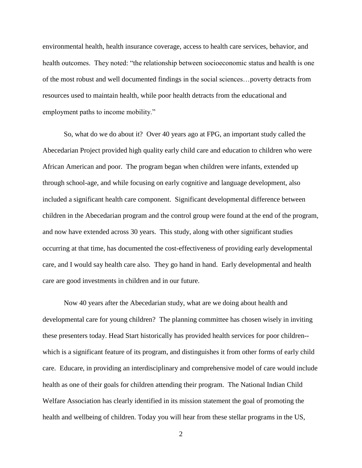environmental health, health insurance coverage, access to health care services, behavior, and health outcomes. They noted: "the relationship between socioeconomic status and health is one of the most robust and well documented findings in the social sciences…poverty detracts from resources used to maintain health, while poor health detracts from the educational and employment paths to income mobility."

So, what do we do about it? Over 40 years ago at FPG, an important study called the Abecedarian Project provided high quality early child care and education to children who were African American and poor. The program began when children were infants, extended up through school-age, and while focusing on early cognitive and language development, also included a significant health care component. Significant developmental difference between children in the Abecedarian program and the control group were found at the end of the program, and now have extended across 30 years. This study, along with other significant studies occurring at that time, has documented the cost-effectiveness of providing early developmental care, and I would say health care also. They go hand in hand. Early developmental and health care are good investments in children and in our future.

Now 40 years after the Abecedarian study, what are we doing about health and developmental care for young children? The planning committee has chosen wisely in inviting these presenters today. Head Start historically has provided health services for poor children- which is a significant feature of its program, and distinguishes it from other forms of early child care. Educare, in providing an interdisciplinary and comprehensive model of care would include health as one of their goals for children attending their program. The National Indian Child Welfare Association has clearly identified in its mission statement the goal of promoting the health and wellbeing of children. Today you will hear from these stellar programs in the US,

2